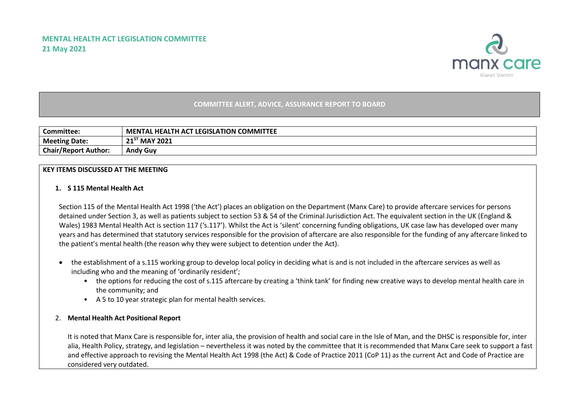

## **COMMITTEE ALERT, ADVICE, ASSURANCE REPORT TO BOARD**

| <b>Committee:</b>           | <b>LEGISLATION COMMITTEE</b><br>. HEALTH ACT<br><b>MENTAL</b> |
|-----------------------------|---------------------------------------------------------------|
| <b>Meeting Date:</b>        | $21^{57}$ MAY 2021                                            |
| <b>Chair/Report Author:</b> | <b>Andy Guy</b>                                               |

## **KEY ITEMS DISCUSSED AT THE MEETING**

## **1. S 115 Mental Health Act**

Section 115 of the Mental Health Act 1998 ('the Act') places an obligation on the Department (Manx Care) to provide aftercare services for persons detained under Section 3, as well as patients subject to section 53 & 54 of the Criminal Jurisdiction Act. The equivalent section in the UK (England & Wales) 1983 Mental Health Act is section 117 ('s.117'). Whilst the Act is 'silent' concerning funding obligations, UK case law has developed over many years and has determined that statutory services responsible for the provision of aftercare are also responsible for the funding of any aftercare linked to the patient's mental health (the reason why they were subject to detention under the Act).

- the establishment of a s.115 working group to develop local policy in deciding what is and is not included in the aftercare services as well as including who and the meaning of 'ordinarily resident';
	- the options for reducing the cost of s.115 aftercare by creating a 'think tank' for finding new creative ways to develop mental health care in the community; and
	- A 5 to 10 year strategic plan for mental health services.

## 2. **Mental Health Act Positional Report**

It is noted that Manx Care is responsible for, inter alia, the provision of health and social care in the Isle of Man, and the DHSC is responsible for, inter alia, Health Policy, strategy, and legislation – nevertheless it was noted by the committee that It is recommended that Manx Care seek to support a fast and effective approach to revising the Mental Health Act 1998 (the Act) & Code of Practice 2011 (CoP 11) as the current Act and Code of Practice are considered very outdated.